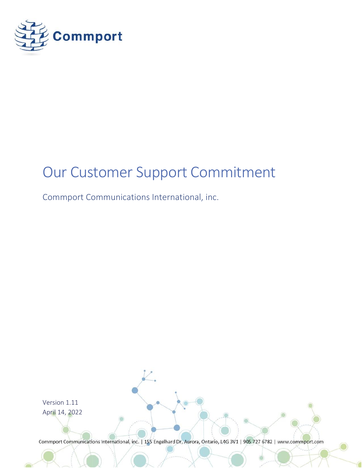

# Our Customer Support Commitment

<span id="page-0-0"></span>Commport Communications International, inc.

Version 1.11 April 14, 2022Commport Communications International, inc. | 155 Engelhard Dr, Aurora, Ontario, L4G 3V1 | 905 727 6782 | www.commport.com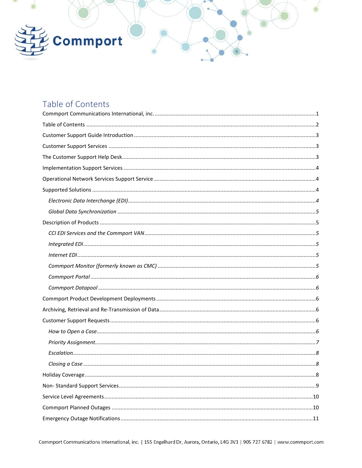

# <span id="page-1-0"></span>Table of Contents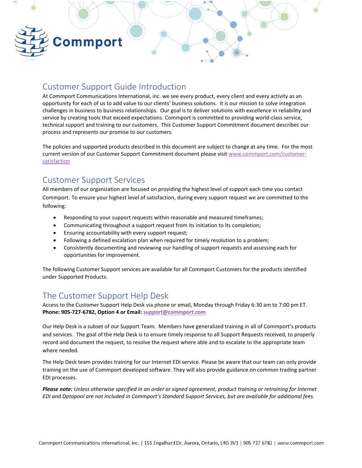

### <span id="page-2-0"></span>Customer Support Guide Introduction

At Commport Communications International, inc. we see every product, every client and every activity as an opportunity for each of us to add value to our clients' business solutions. It is our mission to solve integration challenges in business to business relationships. Our goal is to deliver solutions with excellence in reliability and service by creating tools that exceed expectations. Commport is committed to providing world-class service, technical support and training to our customers. This Customer Support Commitment document describes our process and represents our promise to our customers.

The policies and supported products described in this document are subject to change at any time. For the most current version of our Customer Support Commitment document please visi[t www.commport.com/customer](file:///C:/Users/deannaf/Documents/Brand%20Marketing/Website/NEW%20-%20Updated/www.commport.com/customer-satisfaction)[satisfaction](file:///C:/Users/deannaf/Documents/Brand%20Marketing/Website/NEW%20-%20Updated/www.commport.com/customer-satisfaction)

### <span id="page-2-1"></span>Customer Support Services

All members of our organization are focused on providing the highest level of support each time you contact Commport. To ensure your highest level of satisfaction, during every support request we are committed to the following:

- Responding to your support requests within reasonable and measured timeframes;
- Communicating throughout a support request from its initiation to its completion;
- Ensuring accountability with every support request;
- Following a defined escalation plan when required for timely resolution to a problem;
- Consistently documenting and reviewing our handling of support requests and assessing each for opportunities for improvement.

The following Customer Support services are available for all Commport Customers for the products identified under Supported Products.

## <span id="page-2-2"></span>The Customer Support Help Desk

Access to the Customer Support Help Desk via phone or email, Monday through Friday 6:30 am to 7:00 pm ET. **Phone: 905-727-6782, Option 4 or Email[: support@commport.com](mailto:support@commport.com)**

Our Help Desk is a subset of our Support Team. Members have generalized training in all of Commport's products and services. The goal of the Help Desk is to ensure timely response to all Support Requests received, to properly record and document the request, to resolve the request where able and to escalate to the appropriate team where needed.

The Help Desk team provides training for our Internet EDI service. Please be aware that our team can only provide training on the use of Commport developed software. They will also provide guidance on common trading partner EDI processes.

*Please note: Unless otherwise specified in an order or signed agreement, product training or retraining for Internet EDI and Datapool are not included in Commport's Standard Support Services, but are available for additional fees.*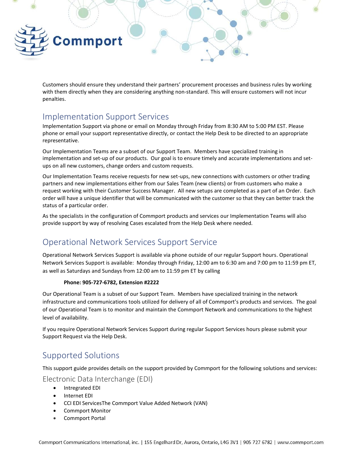

Customers should ensure they understand their partners' procurement processes and business rules by working with them directly when they are considering anything non-standard. This will ensure customers will not incur penalties.

### <span id="page-3-0"></span>Implementation Support Services

Implementation Support via phone or email on Monday through Friday from 8:30 AM to 5:00 PM EST. Please phone or email your support representative directly, or contact the Help Desk to be directed to an appropriate representative.

Our Implementation Teams are a subset of our Support Team. Members have specialized training in implementation and set-up of our products. Our goal is to ensure timely and accurate implementations and setups on all new customers, change orders and custom requests.

Our Implementation Teams receive requests for new set-ups, new connections with customers or other trading partners and new implementations either from our Sales Team (new clients) or from customers who make a request working with their Customer Success Manager. All new setups are completed as a part of an Order. Each order will have a unique identifier that will be communicated with the customer so that they can better track the status of a particular order.

As the specialists in the configuration of Commport products and services our Implementation Teams will also provide support by way of resolving Cases escalated from the Help Desk where needed.

## <span id="page-3-1"></span>Operational Network Services Support Service

Operational Network Services Support is available via phone outside of our regular Support hours. Operational Network Services Support is available: Monday through Friday, 12:00 am to 6:30 am and 7:00 pm to 11:59 pm ET, as well as Saturdays and Sundays from 12:00 am to 11:59 pm ET by calling

#### **Phone: 905-727-6782, Extension #2222**

Our Operational Team is a subset of our Support Team. Members have specialized training in the network infrastructure and communications tools utilized for delivery of all of Commport's products and services. The goal of our Operational Team is to monitor and maintain the Commport Network and communications to the highest level of availability.

If you require Operational Network Services Support during regular Support Services hours please submit your Support Request via the Help Desk.

### <span id="page-3-2"></span>Supported Solutions

This support guide provides details on the support provided by Commport for the following solutions and services:

<span id="page-3-3"></span>Electronic Data Interchange (EDI)

- Intregrated EDI
- Internet EDI
- CCI EDI ServicesThe Commport Value Added Network (VAN)
- Commport Monitor
- Commport Portal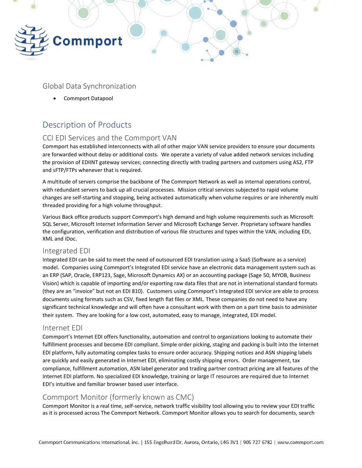

<span id="page-4-0"></span>Global Data Synchronization

• Commport Datapool

# <span id="page-4-1"></span>Description of Products

### <span id="page-4-2"></span>CCI EDI Services and the Commport VAN

Commport has established interconnects with all of other major VAN service providers to ensure your documents are forwarded without delay or additional costs. We operate a variety of value added network services including the provision of EDIINT gateway services; connecting directly with trading partners and customers using AS2, FTP and sFTP/FTPs whenever that is required.

A multitude of servers comprise the backbone of The Commport Network as well as internal operations control, with redundant servers to back up all crucial processes. Mission critical services subjected to rapid volume changes are self-starting and stopping, being activated automatically when volume requires or are inherently multi threaded providing for a high volume throughput.

Various Back office products support Commport's high demand and high volume requirements such as Microsoft SQL Server, Microsoft Internet Information Server and Microsoft Exchange Server. Proprietary software handles the configuration, verification and distribution of various file structures and types within the VAN, including EDI, XML and iDoc.

### <span id="page-4-3"></span>Integrated EDI

Integrated EDI can be said to meet the need of outsourced EDI translation using a SaaS (Software as a service) model. Companies using Commport's Integrated EDI service have an electronic data management system such as an ERP (SAP, Oracle, ERP123, Sage, Microsoft Dynamics AX) or an accounting package (Sage 50, MYOB, Business Vision) which is capable of importing and/or exporting raw data files that are not in international standard formats (they are an "invoice" but not an EDI 810). Customers using Commport's Integrated EDI service are able to process documents using formats such as CSV, fixed length flat files or XML. These companies do not need to have any significant technical knowledge and will often have a consultant work with them on a part time basis to administer their system. They are looking for a low cost, automated, easy to manage, integrated, EDI model.

### <span id="page-4-4"></span>Internet EDI

Commport's Internet EDI offers functionality, automation and control to organizations looking to automate their fulfillment processes and become EDI compliant. Simple order picking, staging and packing is built into the Internet EDI platform, fully automating complex tasks to ensure order accuracy. Shipping notices and ASN shipping labels are quickly and easily generated in Internet EDI, eliminating costly shipping errors. Order management, tax compliance, fulfillment automation, ASN label generator and trading partner contract pricing are all features of the Internet EDI platform. No specialized EDI knowledge, training or large IT resources are required due to Internet EDI's intuitive and familiar browser based user interface.

### <span id="page-4-5"></span>Commport Monitor (formerly known as CMC)

Commport Monitor is a real time, self-service, network traffic visibility tool allowing you to review your EDI traffic as it is processed across The Commport Network. Commport Monitor allows you to search for documents, search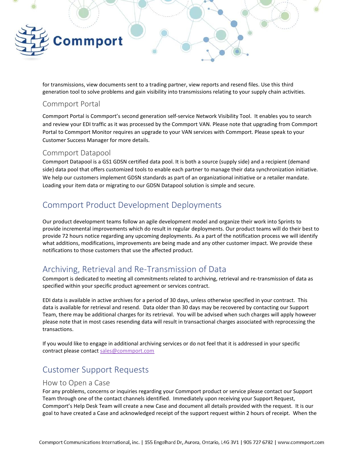

for transmissions, view documents sent to a trading partner, view reports and resend files. Use this third generation tool to solve problems and gain visibility into transmissions relating to your supply chain activities.

### <span id="page-5-0"></span>Commport Portal

Commport Portal is Commport's second generation self-service Network Visibility Tool. It enables you to search and review your EDI traffic as it was processed by the Commport VAN. Please note that upgrading from Commport Portal to Commport Monitor requires an upgrade to your VAN services with Commport. Please speak to your Customer Success Manager for more details.

### <span id="page-5-1"></span>Commport Datapool

Commport Datapool is a GS1 GDSN certified data pool. It is both a source (supply side) and a recipient (demand side) data pool that offers customized tools to enable each partner to manage their data synchronization initiative. We help our customers implement GDSN standards as part of an organizational initiative or a retailer mandate. Loading your item data or migrating to our GDSN Datapool solution is simple and secure.

# <span id="page-5-2"></span>Commport Product Development Deployments

Our product development teams follow an agile development model and organize their work into Sprints to provide incremental improvements which do result in regular deployments. Our product teams will do their best to provide 72 hours notice regarding any upcoming deployments. As a part of the notification process we will identify what additions, modifications, improvements are being made and any other customer impact. We provide these notifications to those customers that use the affected product.

# <span id="page-5-3"></span>Archiving, Retrieval and Re-Transmission of Data

Commport is dedicated to meeting all commitments related to archiving, retrieval and re-transmission of data as specified within your specific product agreement or services contract.

EDI data is available in active archives for a period of 30 days, unless otherwise specified in your contract. This data is available for retrieval and resend. Data older than 30 days may be recovered by contacting our Support Team, there may be additional charges for its retrieval. You will be advised when such charges will apply however please note that in most cases resending data will result in transactional charges associated with reprocessing the transactions.

If you would like to engage in additional archiving services or do not feel that it is addressed in your specific contract please contac[t sales@commport.com](mailto:sales@commport.com)

# <span id="page-5-4"></span>Customer Support Requests

#### <span id="page-5-5"></span>How to Open a Case

For any problems, concerns or inquiries regarding your Commport product or service please contact our Support Team through one of the contact channels identified. Immediately upon receiving your Support Request, Commport's Help Desk Team will create a new Case and document all details provided with the request. It is our goal to have created a Case and acknowledged receipt of the support request within 2 hours of receipt. When the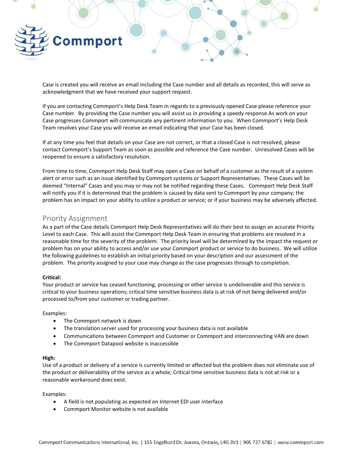

Case is created you will receive an email including the Case number and all details as recorded, this will serve as acknowledgment that we have received your support request.

If you are contacting Commport's Help Desk Team in regards to a previously opened Case please reference your Case number. By providing the Case number you will assist us in providing a speedy response.As work on your Case progresses Commport will communicate any pertinent information to you. When Commport's Help Desk Team resolves your Case you will receive an email indicating that your Case has been closed.

If at any time you feel that details on your Case are not correct, or that a closed Case is not resolved, please contact Commport's Support Team as soon as possible and reference the Case number. Unresolved Cases will be reopened to ensure a satisfactory resolution.

From time to time, Commport Help Desk Staff may open a Case on behalf of a customer as the result of a system alert or error such as an issue identified by Commport systems or Support Representatives. These Cases will be deemed "Internal" Cases and you may or may not be notified regarding these Cases. Commport Help Desk Staff will notify you if it is determined that the problem is caused by data sent to Commport by your company; the problem has an impact on your ability to utilize a product or service; or if your business may be adversely affected.

#### <span id="page-6-0"></span>Priority Assignment

As a part of the Case details Commport Help Desk Representatives will do their best to assign an accurate Priority Level to each Case. This will assist the Commport Help Desk Team in ensuring that problems are resolved in a reasonable time for the severity of the problem. The priority level will be determined by the impact the request or problem has on your ability to access and/or use your Commport product or service to do business. We will utilize the following guidelines to establish an initial priority based on your description and our assessment of the problem. The priority assigned to your case may change as the case progresses through to completion.

#### **Critical:**

Your product or service has ceased functioning, processing or other service is undeliverable and this service is critical to your business operations; critical time sensitive business data is at risk of not being delivered and/or processed to/from your customer or trading partner.

#### Examples:

- The Commport network is down
- The translation server used for processing your business data is not available
- Communications between Commport and Customer or Commport and interconnecting VAN are down
- The Commport Datapool website is inaccessible

#### **High:**

Use of a product or delivery of a service is currently limited or affected but the problem does not eliminate use of the product or deliverability of the service as a whole; Critical time sensitive business data is not at risk or a reasonable workaround does exist.

Examples:

- A field is not populating as expected on Internet EDI user interface
- Commport Monitor website is not available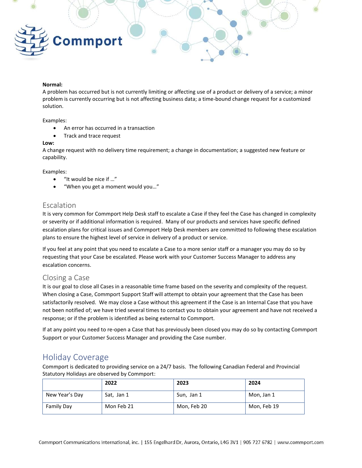

#### **Normal:**

A problem has occurred but is not currently limiting or affecting use of a product or delivery of a service; a minor problem is currently occurring but is not affecting business data; a time-bound change request for a customized solution.

Examples:

- An error has occurred in a transaction
- Track and trace request

#### **Low:**

A change request with no delivery time requirement; a change in documentation; a suggested new feature or capability.

Examples:

- "It would be nice if …"
- "When you get a moment would you…"

#### <span id="page-7-0"></span>Escalation

It is very common for Commport Help Desk staff to escalate a Case if they feel the Case has changed in complexity or severity or if additional information is required. Many of our products and services have specific defined escalation plans for critical issues and Commport Help Desk members are committed to following these escalation plans to ensure the highest level of service in delivery of a product or service.

If you feel at any point that you need to escalate a Case to a more senior staff or a manager you may do so by requesting that your Case be escalated. Please work with your Customer Success Manager to address any escalation concerns.

#### <span id="page-7-1"></span>Closing a Case

It is our goal to close all Cases in a reasonable time frame based on the severity and complexity of the request. When closing a Case, Commport Support Staff will attempt to obtain your agreement that the Case has been satisfactorily resolved. We may close a Case without this agreement if the Case is an Internal Case that you have not been notified of; we have tried several times to contact you to obtain your agreement and have not received a response; or if the problem is identified as being external to Commport.

If at any point you need to re-open a Case that has previously been closed you may do so by contacting Commport Support or your Customer Success Manager and providing the Case number.

### <span id="page-7-2"></span>Holiday Coverage

Commport is dedicated to providing service on a 24/7 basis. The following Canadian Federal and Provincial Statutory Holidays are observed by Commport:

|                | 2022       | 2023        | 2024        |
|----------------|------------|-------------|-------------|
| New Year's Day | Sat, Jan 1 | Sun, Jan 1  | Mon, Jan 1  |
| Family Day     | Mon Feb 21 | Mon, Feb 20 | Mon, Feb 19 |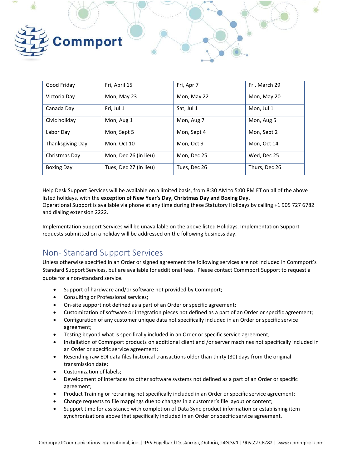

| Good Friday       | Fri, April 15          | Fri, Apr 7   | Fri, March 29 |
|-------------------|------------------------|--------------|---------------|
| Victoria Day      | Mon, May 23            | Mon, May 22  | Mon, May 20   |
| Canada Day        | Fri, Jul 1             | Sat, Jul 1   | Mon, Jul 1    |
| Civic holiday     | Mon, Aug 1             | Mon, Aug 7   | Mon, Aug 5    |
| Labor Day         | Mon, Sept 5            | Mon, Sept 4  | Mon, Sept 2   |
| Thanksgiving Day  | Mon, Oct 10            | Mon, Oct 9   | Mon, Oct 14   |
| Christmas Day     | Mon, Dec 26 (in lieu)  | Mon, Dec 25  | Wed, Dec 25   |
| <b>Boxing Day</b> | Tues, Dec 27 (in lieu) | Tues, Dec 26 | Thurs, Dec 26 |

Help Desk Support Services will be available on a limited basis, from 8:30 AM to 5:00 PM ET on all of the above listed holidays, with the **exception of New Year's Day, Christmas Day and Boxing Day.** Operational Support is available via phone at any time during these Statutory Holidays by calling +1 905 727 6782 and dialing extension 2222.

Implementation Support Services will be unavailable on the above listed Holidays. Implementation Support requests submitted on a holiday will be addressed on the following business day.

# <span id="page-8-0"></span>Non- Standard Support Services

Unless otherwise specified in an Order or signed agreement the following services are not included in Commport's Standard Support Services, but are available for additional fees. Please contact Commport Support to request a quote for a non-standard service.

- Support of hardware and/or software not provided by Commport;
- Consulting or Professional services;
- On-site support not defined as a part of an Order or specific agreement;
- Customization of software or integration pieces not defined as a part of an Order or specific agreement;
- Configuration of any customer unique data not specifically included in an Order or specific service agreement;
- Testing beyond what is specifically included in an Order or specific service agreement;
- Installation of Commport products on additional client and /or server machines not specifically included in an Order or specific service agreement;
- Resending raw EDI data files historical transactions older than thirty (30) days from the original transmission date;
- Customization of labels;
- Development of interfaces to other software systems not defined as a part of an Order or specific agreement;
- Product Training or retraining not specifically included in an Order or specific service agreement;
- Change requests to file mappings due to changes in a customer's file layout or content;
- Support time for assistance with completion of Data Sync product information or establishing item synchronizations above that specifically included in an Order or specific service agreement.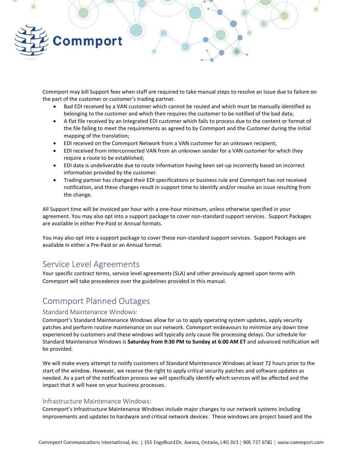

Commport may bill Support fees when staff are required to take manual steps to resolve an issue due to failure on the part of the customer or customer's trading partner.

- Bad EDI received by a VAN customer which cannot be routed and which must be manually identified as belonging to the customer and which then requires the customer to be notified of the bad data;
- A flat file received by an Integrated EDI customer which fails to process due to the content or format of the file failing to meet the requirements as agreed to by Commport and the Customer during the initial mapping of the translation;
- EDI received on the Commport Network from a VAN customer for an unknown recipient;
- EDI received from interconnected VAN from an unknown sender for a VAN customer for which they require a route to be established;
- EDI data is undeliverable due to route information having been set-up incorrectly based on incorrect information provided by the customer.
- Trading partner has changed their EDI specifications or business rule and Commport has not received notification, and these changes result in support time to identify and/or resolve an issue resulting from the change.

All Support time will be invoiced per hour with a one-hour minimum, unless otherwise specified in your agreement. You may also opt into a support package to cover non-standard support services. Support Packages are available in either Pre-Paid or Annual formats.

You may also opt into a support package to cover these non-standard support services. Support Packages are available in either a Pre-Paid or an Annual format.

### <span id="page-9-0"></span>Service Level Agreements

Your specific contract terms, service level agreements (SLA) and other previously agreed upon terms with Commport will take precedence over the guidelines provided in this manual.

## <span id="page-9-1"></span>Commport Planned Outages

#### Standard Maintenance Windows:

Commport's Standard Maintenance Windows allow for us to apply operating system updates, apply security patches and perform routine maintenance on our network. Commport endeavours to minimize any down time experienced by customers and these windows will typically only cause file processing delays. Our schedule for Standard Maintenance Windows is **Saturday from 9:30 PM to Sunday at 6:00 AM ET** and advanced notification will be provided.

We will make every attempt to notify customers of Standard Maintenance Windows at least 72 hours prior to the start of the window. However, we reserve the right to apply critical security patches and software updates as needed. As a part of the notification process we will specifically identify which services will be affected and the impact that it will have on your business processes.

#### Infrastructure Maintenance Windows:

Commport's Infrastructure Maintenance Windows include major changes to our network systems including improvements and updates to hardware and critical network devices. These windows are project based and the